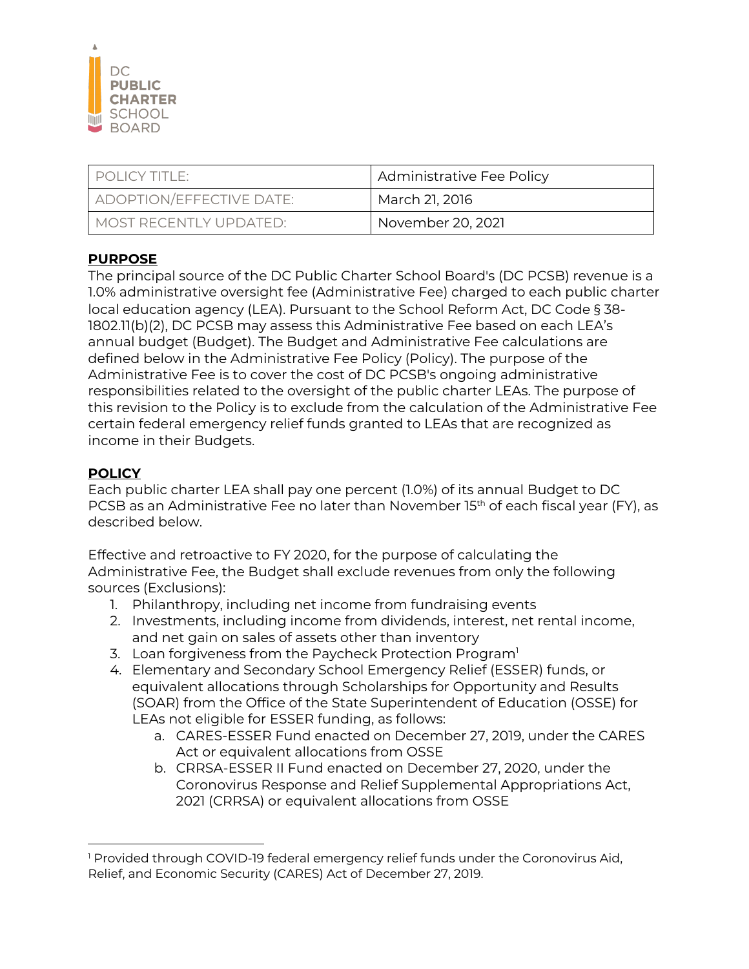

| $\Box$ POHCY TITLE:      | Administrative Fee Policy |
|--------------------------|---------------------------|
| ADOPTION/EFFECTIVE DATE: | March 21, 2016            |
| MOST RECENTI Y UPDATED:  | November 20, 2021         |

## **PURPOSE**

The principal source of the DC Public Charter School Board's (DC PCSB) revenue is a 1.0% administrative oversight fee (Administrative Fee) charged to each public charter local education agency (LEA). Pursuant to the School Reform Act, DC Code § 38- 1802.11(b)(2), DC PCSB may assess this Administrative Fee based on each LEA's annual budget (Budget). The Budget and Administrative Fee calculations are defined below in the Administrative Fee Policy (Policy). The purpose of the Administrative Fee is to cover the cost of DC PCSB's ongoing administrative responsibilities related to the oversight of the public charter LEAs. The purpose of this revision to the Policy is to exclude from the calculation of the Administrative Fee certain federal emergency relief funds granted to LEAs that are recognized as income in their Budgets.

## **POLICY**

Each public charter LEA shall pay one percent (1.0%) of its annual Budget to DC PCSB as an Administrative Fee no later than November 15<sup>th</sup> of each fiscal year (FY), as described below.

Effective and retroactive to FY 2020, for the purpose of calculating the Administrative Fee, the Budget shall exclude revenues from only the following sources (Exclusions):

- 1. Philanthropy, including net income from fundraising events
- 2. Investments, including income from dividends, interest, net rental income, and net gain on sales of assets other than inventory
- 3. Loan forgiveness from the Paycheck Protection Program<sup>1</sup>
- 4. Elementary and Secondary School Emergency Relief (ESSER) funds, or equivalent allocations through Scholarships for Opportunity and Results (SOAR) from the Office of the State Superintendent of Education (OSSE) for LEAs not eligible for ESSER funding, as follows:
	- a. CARES-ESSER Fund enacted on December 27, 2019, under the CARES Act or equivalent allocations from OSSE
	- b. CRRSA-ESSER II Fund enacted on December 27, 2020, under the Coronovirus Response and Relief Supplemental Appropriations Act, 2021 (CRRSA) or equivalent allocations from OSSE

<sup>&</sup>lt;sup>1</sup> Provided through COVID-19 federal emergency relief funds under the Coronovirus Aid, Relief, and Economic Security (CARES) Act of December 27, 2019.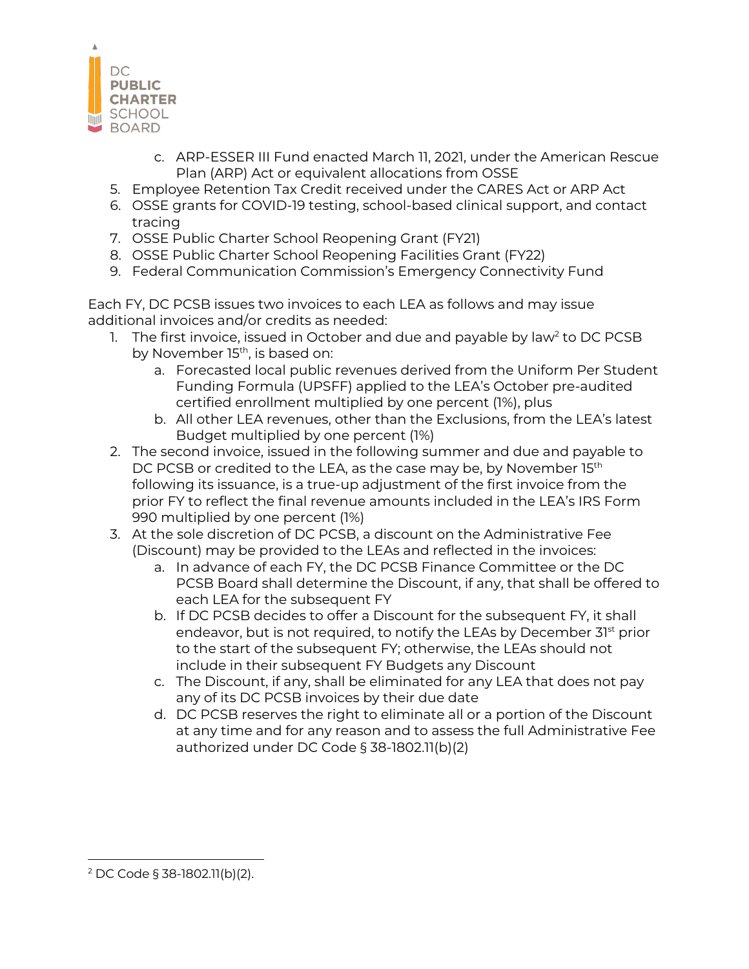

- c. ARP-ESSER III Fund enacted March 11, 2021, under the American Rescue Plan (ARP) Act or equivalent allocations from OSSE
- 5. Employee Retention Tax Credit received under the CARES Act or ARP Act
- 6. OSSE grants for COVID-19 testing, school-based clinical support, and contact tracing
- 7. OSSE Public Charter School Reopening Grant (FY21)
- 8. OSSE Public Charter School Reopening Facilities Grant (FY22)
- 9. Federal Communication Commission's Emergency Connectivity Fund

Each FY, DC PCSB issues two invoices to each LEA as follows and may issue additional invoices and/or credits as needed:

- 1. The first invoice, issued in October and due and payable by law<sup>2</sup> to DC PCSB by November 15<sup>th</sup>, is based on:
	- a. Forecasted local public revenues derived from the Uniform Per Student Funding Formula (UPSFF) applied to the LEA's October pre-audited certified enrollment multiplied by one percent (1%), plus
	- b. All other LEA revenues, other than the Exclusions, from the LEA's latest Budget multiplied by one percent (1%)
- 2. The second invoice, issued in the following summer and due and payable to DC PCSB or credited to the LEA, as the case may be, by November 15<sup>th</sup> following its issuance, is a true-up adjustment of the first invoice from the prior FY to reflect the final revenue amounts included in the LEA's IRS Form 990 multiplied by one percent (1%)
- 3. At the sole discretion of DC PCSB, a discount on the Administrative Fee (Discount) may be provided to the LEAs and reflected in the invoices:
	- a. In advance of each FY, the DC PCSB Finance Committee or the DC PCSB Board shall determine the Discount, if any, that shall be offered to each LEA for the subsequent FY
	- b. If DC PCSB decides to offer a Discount for the subsequent FY, it shall endeavor, but is not required, to notify the LEAs by December 31<sup>st</sup> prior to the start of the subsequent FY; otherwise, the LEAs should not include in their subsequent FY Budgets any Discount
	- c. The Discount, if any, shall be eliminated for any LEA that does not pay any of its DC PCSB invoices by their due date
	- d. DC PCSB reserves the right to eliminate all or a portion of the Discount at any time and for any reason and to assess the full Administrative Fee authorized under DC Code § 38-1802.11(b)(2)

<sup>2</sup> DC Code § 38-1802.11(b)(2).